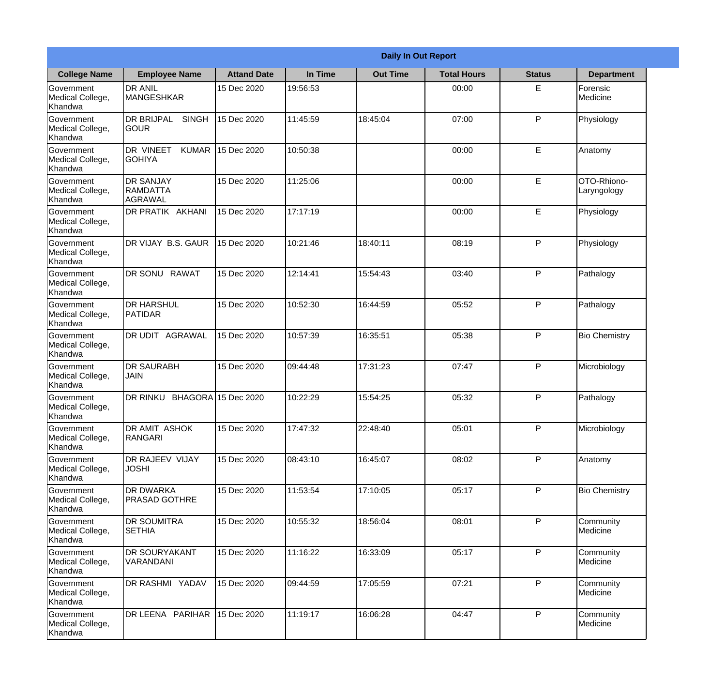|                                                  |                                                   |                     |          | <b>Daily In Out Report</b> |                    |               |                            |
|--------------------------------------------------|---------------------------------------------------|---------------------|----------|----------------------------|--------------------|---------------|----------------------------|
| <b>College Name</b>                              | <b>Employee Name</b>                              | <b>Attand Date</b>  | In Time  | <b>Out Time</b>            | <b>Total Hours</b> | <b>Status</b> | <b>Department</b>          |
| Government<br>Medical College,<br>Khandwa        | <b>DR ANIL</b><br><b>MANGESHKAR</b>               | 15 Dec 2020         | 19:56:53 |                            | 00:00              | E             | Forensic<br>Medicine       |
| Government<br>Medical College,<br>Khandwa        | <b>DR BRIJPAL</b><br><b>SINGH</b><br> GOUR        | 15 Dec 2020         | 11:45:59 | 18:45:04                   | 07:00              | P             | Physiology                 |
| Government<br>Medical College,<br>Khandwa        | <b>DR VINEET</b><br><b>KUMAR</b><br><b>GOHIYA</b> | 15 Dec 2020         | 10:50:38 |                            | 00:00              | E             | Anatomy                    |
| Government<br>Medical College,<br>Khandwa        | <b>DR SANJAY</b><br>RAMDATTA<br><b>AGRAWAL</b>    | 15 Dec 2020         | 11:25:06 |                            | 00:00              | E             | OTO-Rhiono-<br>Laryngology |
| Government<br>Medical College,<br>Khandwa        | <b>DR PRATIK AKHANI</b>                           | 15 Dec 2020         | 17:17:19 |                            | 00:00              | E             | Physiology                 |
| Government<br>Medical College,<br>Khandwa        | DR VIJAY B.S. GAUR                                | 15 Dec 2020         | 10:21:46 | 18:40:11                   | 08:19              | P             | Physiology                 |
| <b>Government</b><br>Medical College,<br>Khandwa | DR SONU RAWAT                                     | 15 Dec 2020         | 12:14:41 | 15:54:43                   | 03:40              | P             | Pathalogy                  |
| Government<br>Medical College,<br>Khandwa        | <b>DR HARSHUL</b><br>PATIDAR                      | 15 Dec 2020         | 10:52:30 | 16:44:59                   | 05:52              | P             | Pathalogy                  |
| Government<br>Medical College,<br>Khandwa        | <b>DR UDIT AGRAWAL</b>                            | 15 Dec 2020         | 10:57:39 | 16:35:51                   | 05:38              | P             | <b>Bio Chemistry</b>       |
| Government<br>Medical College,<br>Khandwa        | <b>DR SAURABH</b><br><b>JAIN</b>                  | 15 Dec 2020         | 09:44:48 | 17:31:23                   | 07:47              | P             | Microbiology               |
| Government<br>Medical College,<br>Khandwa        | DR RINKU                                          | BHAGORA 15 Dec 2020 | 10:22:29 | 15:54:25                   | 05:32              | P             | Pathalogy                  |
| Government<br>Medical College,<br>Khandwa        | <b>DR AMIT ASHOK</b><br>RANGARI                   | 15 Dec 2020         | 17:47:32 | 22:48:40                   | 05:01              | P             | Microbiology               |
| Government<br>Medical College,<br>Khandwa        | DR RAJEEV VIJAY<br><b>JOSHI</b>                   | 15 Dec 2020         | 08:43:10 | 16:45:07                   | 08:02              | P             | Anatomy                    |
| Government<br>Medical College,<br>Khandwa        | <b>DR DWARKA</b><br><b>PRASAD GOTHRE</b>          | 15 Dec 2020         | 11:53:54 | 17:10:05                   | 05:17              | P             | <b>Bio Chemistry</b>       |
| Government<br>Medical College,<br>Khandwa        | <b>DR SOUMITRA</b><br><b>SETHIA</b>               | 15 Dec 2020         | 10:55:32 | 18:56:04                   | 08:01              | P             | Community<br>Medicine      |
| Government<br>Medical College,<br>Khandwa        | <b>DR SOURYAKANT</b><br>VARANDANI                 | 15 Dec 2020         | 11:16:22 | 16:33:09                   | 05:17              | P             | Community<br>Medicine      |
| Government<br>Medical College,<br>Khandwa        | <b>DR RASHMI YADAV</b>                            | 15 Dec 2020         | 09:44:59 | 17:05:59                   | 07:21              | P             | Community<br>Medicine      |
| Government<br>Medical College,<br>Khandwa        | DR LEENA PARIHAR                                  | 15 Dec 2020         | 11:19:17 | 16:06:28                   | 04:47              | P             | Community<br>Medicine      |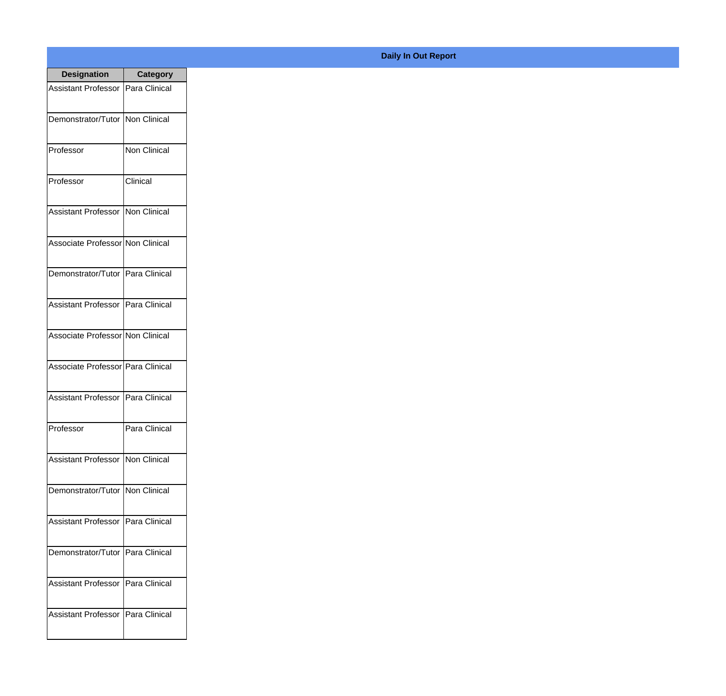| <b>Designation</b>                  | Category             |
|-------------------------------------|----------------------|
| Assistant Professor   Para Clinical |                      |
| Demonstrator/Tutor   Non Clinical   |                      |
| Professor                           | Non Clinical         |
| Professor                           | Clinical             |
| <b>Assistant Professor</b>          | <b>Non Clinical</b>  |
| Associate Professor Non Clinical    |                      |
| Demonstrator/Tutor   Para Clinical  |                      |
| Assistant Professor   Para Clinical |                      |
| Associate Professor Non Clinical    |                      |
| Associate Professor   Para Clinical |                      |
| Assistant Professor                 | Para Clinical        |
| Professor                           | Para Clinical        |
| Assistant Professor Non Clinical    |                      |
| Demonstrator/Tutor   Non Clinical   |                      |
| <b>Assistant Professor</b>          | Para Clinical        |
| Demonstrator/Tutor                  | Para Clinical        |
| <b>Assistant Professor</b>          | Para Clinical        |
| <b>Assistant Professor</b>          | <b>Para Clinical</b> |

**Daily In Out Report**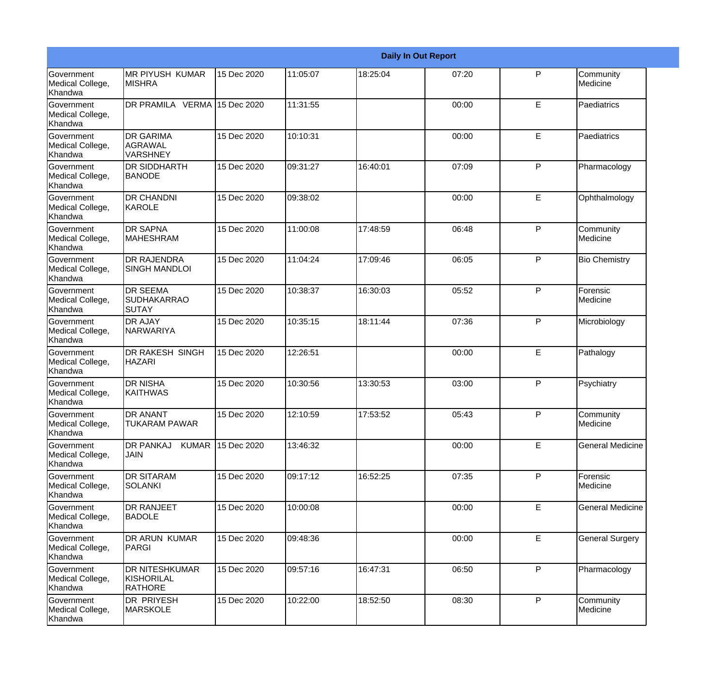|                                                  |                                                 |             |          |          | <b>Daily In Out Report</b> |              |                         |
|--------------------------------------------------|-------------------------------------------------|-------------|----------|----------|----------------------------|--------------|-------------------------|
| Government<br>Medical College,<br>Khandwa        | <b>IMR PIYUSH KUMAR</b><br><b>MISHRA</b>        | 15 Dec 2020 | 11:05:07 | 18:25:04 | 07:20                      | P            | Community<br>Medicine   |
| Government<br>Medical College,<br>Khandwa        | DR PRAMILA VERMA 15 Dec 2020                    |             | 11:31:55 |          | 00:00                      | E            | Paediatrics             |
| <b>Government</b><br>Medical College,<br>Khandwa | <b>DR GARIMA</b><br>AGRAWAL<br>VARSHNEY         | 15 Dec 2020 | 10:10:31 |          | 00:00                      | E            | Paediatrics             |
| <b>Government</b><br>Medical College,<br>Khandwa | DR SIDDHARTH<br><b>BANODE</b>                   | 15 Dec 2020 | 09:31:27 | 16:40:01 | 07:09                      | $\mathsf{P}$ | Pharmacology            |
| Government<br>Medical College,<br>Khandwa        | <b>DR CHANDNI</b><br>KAROLE                     | 15 Dec 2020 | 09:38:02 |          | 00:00                      | E            | Ophthalmology           |
| Government<br>Medical College,<br><b>Khandwa</b> | <b>DR SAPNA</b><br><b>MAHESHRAM</b>             | 15 Dec 2020 | 11:00:08 | 17:48:59 | 06:48                      | $\mathsf{P}$ | Community<br>Medicine   |
| Government<br>Medical College,<br>Khandwa        | <b>DR RAJENDRA</b><br><b>SINGH MANDLOI</b>      | 15 Dec 2020 | 11:04:24 | 17:09:46 | 06:05                      | $\mathsf{P}$ | <b>Bio Chemistry</b>    |
| <b>Government</b><br>Medical College,<br>Khandwa | <b>DR SEEMA</b><br><b>SUDHAKARRAO</b><br>SUTAY  | 15 Dec 2020 | 10:38:37 | 16:30:03 | 05:52                      | $\mathsf{P}$ | Forensic<br>Medicine    |
| Government<br>Medical College,<br>Khandwa        | DR AJAY<br>NARWARIYA                            | 15 Dec 2020 | 10:35:15 | 18:11:44 | 07:36                      | P            | Microbiology            |
| Government<br>Medical College,<br>Khandwa        | DR RAKESH SINGH<br><b>HAZARI</b>                | 15 Dec 2020 | 12:26:51 |          | 00:00                      | E            | Pathalogy               |
| <b>Government</b><br>Medical College,<br>Khandwa | <b>DR NISHA</b><br><b>KAITHWAS</b>              | 15 Dec 2020 | 10:30:56 | 13:30:53 | 03:00                      | P            | Psychiatry              |
| Government<br>Medical College,<br>Khandwa        | DR ANANT<br><b>TUKARAM PAWAR</b>                | 15 Dec 2020 | 12:10:59 | 17:53:52 | 05:43                      | P            | Community<br>Medicine   |
| Government<br>Medical College,<br>Khandwa        | <b>DR PANKAJ</b><br><b>KUMAR</b><br><b>JAIN</b> | 15 Dec 2020 | 13:46:32 |          | 00:00                      | E            | <b>General Medicine</b> |
| <b>Government</b><br>Medical College,<br>Khandwa | <b>DR SITARAM</b><br><b>SOLANKI</b>             | 15 Dec 2020 | 09:17:12 | 16:52:25 | 07:35                      | P            | Forensic<br>Medicine    |
| Government<br>Medical College,<br>Khandwa        | DR RANJEET<br><b>BADOLE</b>                     | 15 Dec 2020 | 10:00:08 |          | 00:00                      | E            | <b>General Medicine</b> |
| Government<br>Medical College,<br>Khandwa        | DR ARUN KUMAR<br>PARGI                          | 15 Dec 2020 | 09:48:36 |          | 00:00                      | E            | <b>General Surgery</b>  |
| Government<br>Medical College,<br>Khandwa        | DR NITESHKUMAR<br>KISHORILAL<br><b>RATHORE</b>  | 15 Dec 2020 | 09:57:16 | 16:47:31 | 06:50                      | P            | Pharmacology            |
| Government<br>Medical College,<br>Khandwa        | DR PRIYESH<br><b>MARSKOLE</b>                   | 15 Dec 2020 | 10:22:00 | 18:52:50 | 08:30                      | P            | Community<br>Medicine   |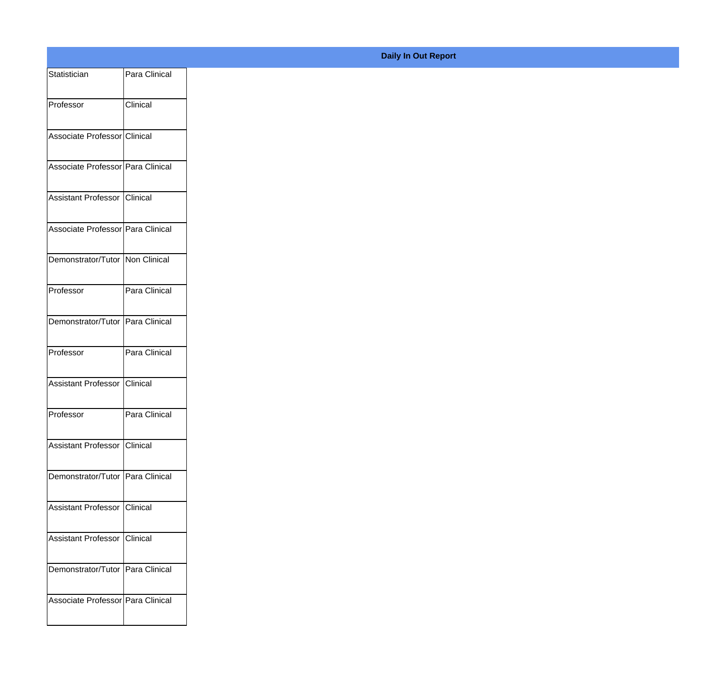| Statistician                       | Para Clinical |
|------------------------------------|---------------|
| Professor                          | Clinical      |
|                                    |               |
| Associate Professor Clinical       |               |
| Associate Professor Para Clinical  |               |
|                                    |               |
| Assistant Professor Clinical       |               |
| Associate Professor Para Clinical  |               |
| Demonstrator/Tutor Non Clinical    |               |
| Professor                          | Para Clinical |
|                                    |               |
| Demonstrator/Tutor Para Clinical   |               |
| Professor                          | Para Clinical |
| Assistant Professor Clinical       |               |
|                                    |               |
| Professor                          | Para Clinical |
| Assistant Professor Clinical       |               |
| Demonstrator/Tutor Para Clinical   |               |
|                                    |               |
| Assistant Professor Clinical       |               |
| Assistant Professor Clinical       |               |
| Demonstrator/Tutor   Para Clinical |               |
|                                    |               |
| Associate Professor Para Clinical  |               |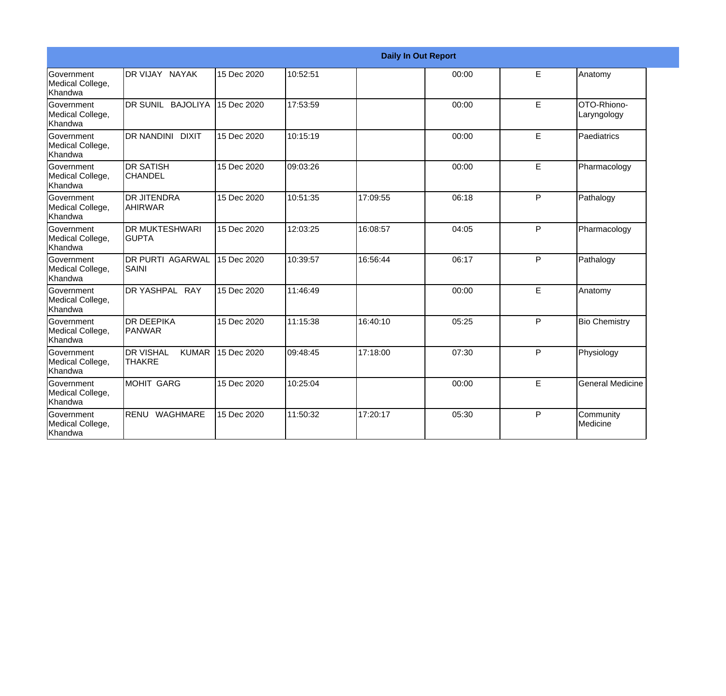|                                                         |                                                   |             |          |          | <b>Daily In Out Report</b> |   |                            |
|---------------------------------------------------------|---------------------------------------------------|-------------|----------|----------|----------------------------|---|----------------------------|
| Government<br>Medical College,<br>Khandwa               | DR VIJAY NAYAK                                    | 15 Dec 2020 | 10:52:51 |          | 00:00                      | E | Anatomy                    |
| <b>Government</b><br>Medical College,<br>Khandwa        | <b>IDR SUNIL BAJOLIYA</b>                         | 15 Dec 2020 | 17:53:59 |          | 00:00                      | E | OTO-Rhiono-<br>Laryngology |
| <b>Government</b><br>Medical College,<br>Khandwa        | <b>IDR NANDINI DIXIT</b>                          | 15 Dec 2020 | 10:15:19 |          | 00:00                      | E | Paediatrics                |
| <b>Government</b><br>Medical College,<br><b>Khandwa</b> | <b>DR SATISH</b><br>ICHANDEL                      | 15 Dec 2020 | 09:03:26 |          | 00:00                      | E | Pharmacology               |
| <b>Government</b><br>Medical College,<br><b>Khandwa</b> | IDR JITENDRA<br>AHIRWAR                           | 15 Dec 2020 | 10:51:35 | 17:09:55 | 06:18                      | P | Pathalogy                  |
| Government<br>Medical College,<br>Khandwa               | <b>DR MUKTESHWARI</b><br><b>GUPTA</b>             | 15 Dec 2020 | 12:03:25 | 16:08:57 | 04:05                      | P | Pharmacology               |
| Government<br>Medical College,<br>Khandwa               | <b>DR PURTI AGARWAL</b><br><b>SAINI</b>           | 15 Dec 2020 | 10:39:57 | 16:56:44 | 06:17                      | P | Pathalogy                  |
| <b>Government</b><br>Medical College,<br>Khandwa        | DR YASHPAL RAY                                    | 15 Dec 2020 | 11:46:49 |          | 00:00                      | E | Anatomy                    |
| Government<br>Medical College,<br>Khandwa               | <b>DR DEEPIKA</b><br>PANWAR                       | 15 Dec 2020 | 11:15:38 | 16:40:10 | 05:25                      | P | <b>Bio Chemistry</b>       |
| Government<br>Medical College,<br>Khandwa               | <b>DR VISHAL</b><br><b>KUMAR</b><br><b>THAKRE</b> | 15 Dec 2020 | 09:48:45 | 17:18:00 | 07:30                      | P | Physiology                 |
| Government<br>Medical College,<br>Khandwa               | MOHIT GARG                                        | 15 Dec 2020 | 10:25:04 |          | 00:00                      | E | <b>General Medicine</b>    |
| Government<br>Medical College,<br>Khandwa               | RENU WAGHMARE                                     | 15 Dec 2020 | 11:50:32 | 17:20:17 | 05:30                      | P | Community<br>Medicine      |